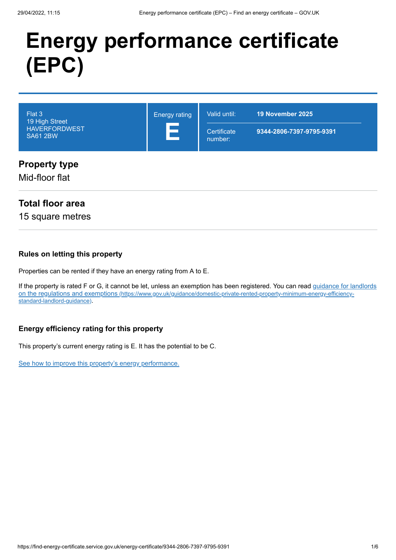# **Energy performance certificate (EPC)**

| Flat 3<br>19 High Street<br><b>HAVERFORDWEST</b><br><b>SA61 2BW</b> | <b>Energy rating</b><br>Е | Valid until:<br>Certificate<br>number: | 19 November 2025<br>9344-2806-7397-9795-9391 |
|---------------------------------------------------------------------|---------------------------|----------------------------------------|----------------------------------------------|
| <b>Property type</b><br>Mid-floor flat                              |                           |                                        |                                              |

## **Total floor area**

15 square metres

#### **Rules on letting this property**

Properties can be rented if they have an energy rating from A to E.

[If the property is rated F or G, it cannot be let, unless an exemption has been registered. You can read guidance for landlords](https://www.gov.uk/guidance/domestic-private-rented-property-minimum-energy-efficiency-standard-landlord-guidance) on the regulations and exemptions (https://www.gov.uk/guidance/domestic-private-rented-property-minimum-energy-efficiencystandard-landlord-guidance).

#### **Energy efficiency rating for this property**

This property's current energy rating is E. It has the potential to be C.

[See how to improve this property's energy performance.](#page-3-0)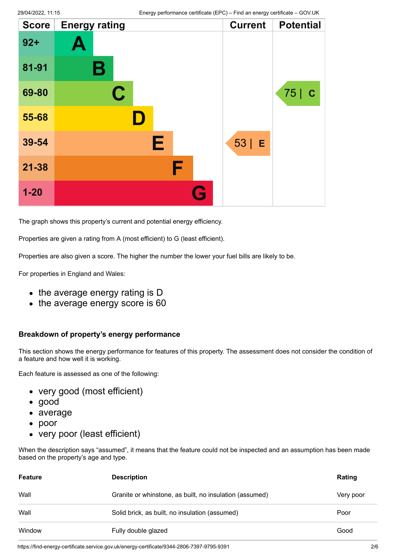| <b>Score</b> | <b>Energy rating</b> |           | <b>Current</b> | <b>Potential</b> |
|--------------|----------------------|-----------|----------------|------------------|
| $92 +$       | Ą                    |           |                |                  |
| 81-91        | В                    |           |                |                  |
| 69-80        | $\mathbf C$          |           |                | 75   C           |
| 55-68        |                      |           |                |                  |
| 39-54        | E                    |           | $53$   E       |                  |
| $21 - 38$    | F                    |           |                |                  |
| $1 - 20$     |                      | <b>Ay</b> |                |                  |

The graph shows this property's current and potential energy efficiency.

Properties are given a rating from A (most efficient) to G (least efficient).

Properties are also given a score. The higher the number the lower your fuel bills are likely to be.

For properties in England and Wales:

- the average energy rating is D
- the average energy score is 60

#### **Breakdown of property's energy performance**

This section shows the energy performance for features of this property. The assessment does not consider the condition of a feature and how well it is working.

Each feature is assessed as one of the following:

- very good (most efficient)
- good
- average
- poor
- very poor (least efficient)

When the description says "assumed", it means that the feature could not be inspected and an assumption has been made based on the property's age and type.

| <b>Feature</b> | <b>Description</b>                                      | Rating    |
|----------------|---------------------------------------------------------|-----------|
| Wall           | Granite or whinstone, as built, no insulation (assumed) | Very poor |
| Wall           | Solid brick, as built, no insulation (assumed)          | Poor      |
| Window         | Fully double glazed                                     | Good      |

https://find-energy-certificate.service.gov.uk/energy-certificate/9344-2806-7397-9795-9391 2/6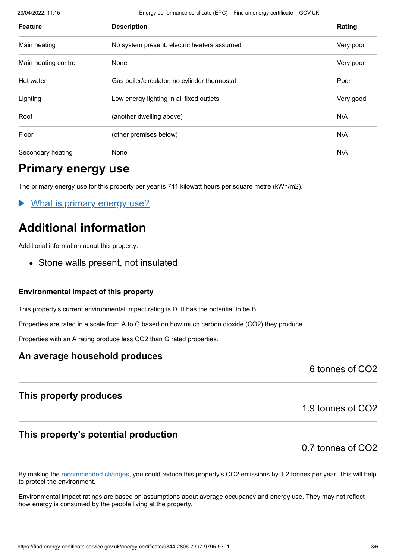29/04/2022, 11:15 Energy performance certificate (EPC) – Find an energy certificate – GOV.UK

| <b>Feature</b>       | <b>Description</b>                            | Rating    |
|----------------------|-----------------------------------------------|-----------|
| Main heating         | No system present: electric heaters assumed   | Very poor |
| Main heating control | None                                          | Very poor |
| Hot water            | Gas boiler/circulator, no cylinder thermostat | Poor      |
| Lighting             | Low energy lighting in all fixed outlets      | Very good |
| Roof                 | (another dwelling above)                      | N/A       |
| Floor                | (other premises below)                        | N/A       |
| Secondary heating    | None                                          | N/A       |

## **Primary energy use**

The primary energy use for this property per year is 741 kilowatt hours per square metre (kWh/m2).

What is primary energy use?

# **Additional information**

Additional information about this property:

• Stone walls present, not insulated

#### **Environmental impact of this property**

This property's current environmental impact rating is D. It has the potential to be B.

Properties are rated in a scale from A to G based on how much carbon dioxide (CO2) they produce.

Properties with an A rating produce less CO2 than G rated properties.

#### **An average household produces**

6 tonnes of CO2

## **This property produces**

## **This property's potential production**

0.7 tonnes of CO2

1.9 tonnes of CO2

By making the [recommended changes](#page-3-0), you could reduce this property's CO2 emissions by 1.2 tonnes per year. This will help to protect the environment.

Environmental impact ratings are based on assumptions about average occupancy and energy use. They may not reflect how energy is consumed by the people living at the property.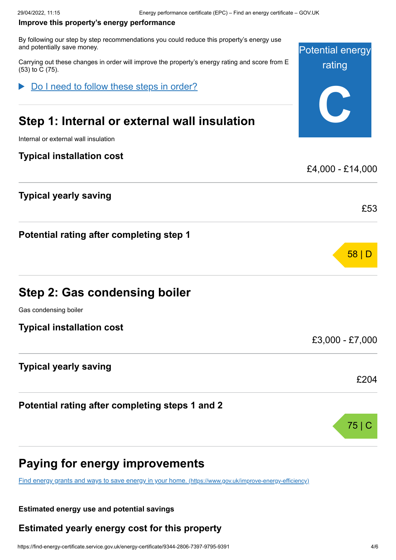#### <span id="page-3-0"></span>**Improve this property's energy performance**

By following our step by step recommendations you could reduce this property's energy use and potentially save money.

Carrying out these changes in order will improve the property's energy rating and score from E (53) to C (75).

Do I need to follow these steps in order?

# **Step 1: Internal or external wall insulation**

Internal or external wall insulation

#### **Typical installation cost**

## **Typical yearly saving**

**Potential rating after completing step 1**

## **Step 2: Gas condensing boiler**

Gas condensing boiler

**Typical installation cost**

#### **Typical yearly saving**

**Potential rating after completing steps 1 and 2**

## **Paying for energy improvements**

[Find energy grants and ways to save energy in your home.](https://www.gov.uk/improve-energy-efficiency) (https://www.gov.uk/improve-energy-efficiency)

#### **Estimated energy use and potential savings**

#### **Estimated yearly energy cost for this property**



£4,000 - £14,000

58 | D

£53

£3,000 - £7,000

£204

75 | C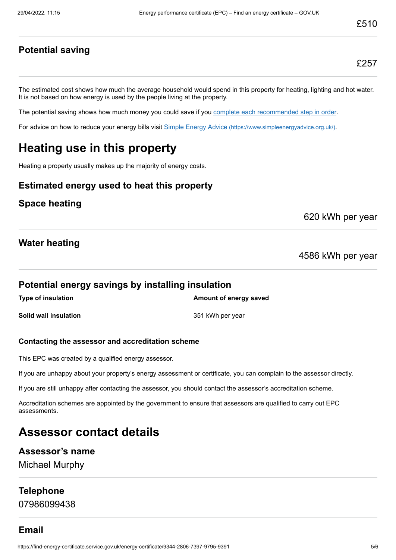#### **Potential saving**

£257

The estimated cost shows how much the average household would spend in this property for heating, lighting and hot water. It is not based on how energy is used by the people living at the property.

The potential saving shows how much money you could save if you [complete each recommended step in order](#page-3-0).

For advice on how to reduce your energy bills visit Simple Energy Advice [\(https://www.simpleenergyadvice.org.uk/\)](https://www.simpleenergyadvice.org.uk/).

# **Heating use in this property**

Heating a property usually makes up the majority of energy costs.

#### **Estimated energy used to heat this property**

#### **Space heating**

620 kWh per year

#### **Water heating**

4586 kWh per year

#### **Potential energy savings by installing insulation**

**Type of insulation Amount of energy saved Solid wall insulation** 351 kWh per year

#### **Contacting the assessor and accreditation scheme**

This EPC was created by a qualified energy assessor.

If you are unhappy about your property's energy assessment or certificate, you can complain to the assessor directly.

If you are still unhappy after contacting the assessor, you should contact the assessor's accreditation scheme.

Accreditation schemes are appointed by the government to ensure that assessors are qualified to carry out EPC assessments.

## **Assessor contact details**

#### **Assessor's name**

Michael Murphy

#### **Telephone**

07986099438

#### **Email**